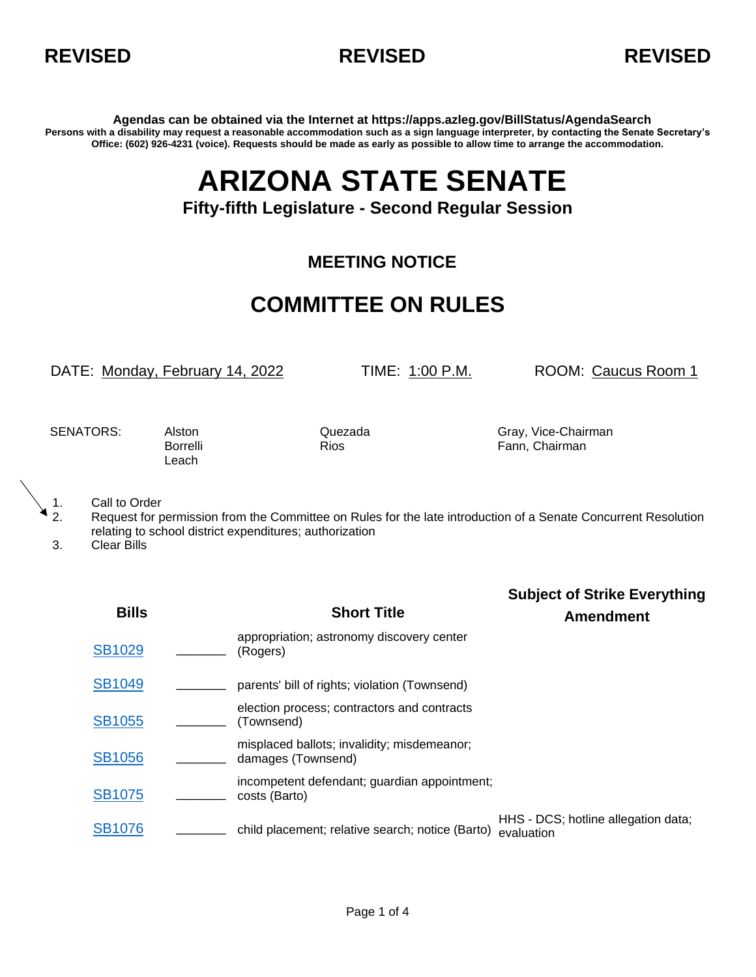



**Agendas can be obtained via the Internet at https://apps.azleg.gov/BillStatus/AgendaSearch Persons with a disability may request a reasonable accommodation such as a sign language interpreter, by contacting the Senate Secretary's Office: (602) 926-4231 (voice). Requests should be made as early as possible to allow time to arrange the accommodation.**

## **ARIZONA STATE SENATE**

## **Fifty-fifth Legislature - Second Regular Session**

## **MEETING NOTICE**

## **COMMITTEE ON RULES**

DATE: Monday, February 14, 2022 TIME: 1:00 P.M. ROOM: Caucus Room 1

**Subject of Strike Everything**

Leach

SENATORS: Alston Cuezada Gray, Vice-Chairman Borrelli **Rios** Rios **Fann, Chairman** 

1. Call to Order<br>2. Request for p

2. Request for permission from the Committee on Rules for the late introduction of a Senate Concurrent Resolution relating to school district expenditures; authorization

3. Clear Bills

**Bills Short Title Amendment** [SB1029](https://apps.azleg.gov/BillStatus/BillOverview/76291) **\_\_\_\_** appropriation; astronomy discovery center \_\_\_\_ (Rogers) [SB1049](https://apps.azleg.gov/BillStatus/BillOverview/76316) **\_\_\_\_** parents' bill of rights; violation (Townsend) [SB1055](https://apps.azleg.gov/BillStatus/BillOverview/76322) **\_\_\_\_** election process; contractors and contracts (Townsend) [SB1056](https://apps.azleg.gov/BillStatus/BillOverview/76323) **\_\_\_\_** misplaced ballots; invalidity; misdemeanor; \_\_ damages (Townsend) [SB1075](https://apps.azleg.gov/BillStatus/BillOverview/76355) **\_\_\_\_** incompetent defendant; guardian appointment; \_\_\_\_ costs (Barto) HHS - DC<br>child placement; relative search; notice (Barto) <sub>evaluation</sub> یعنی <u>[SB1076](https://apps.azleg.gov/BillStatus/BillOverview/76356)</u> HHS - DCS; hotline allegation data;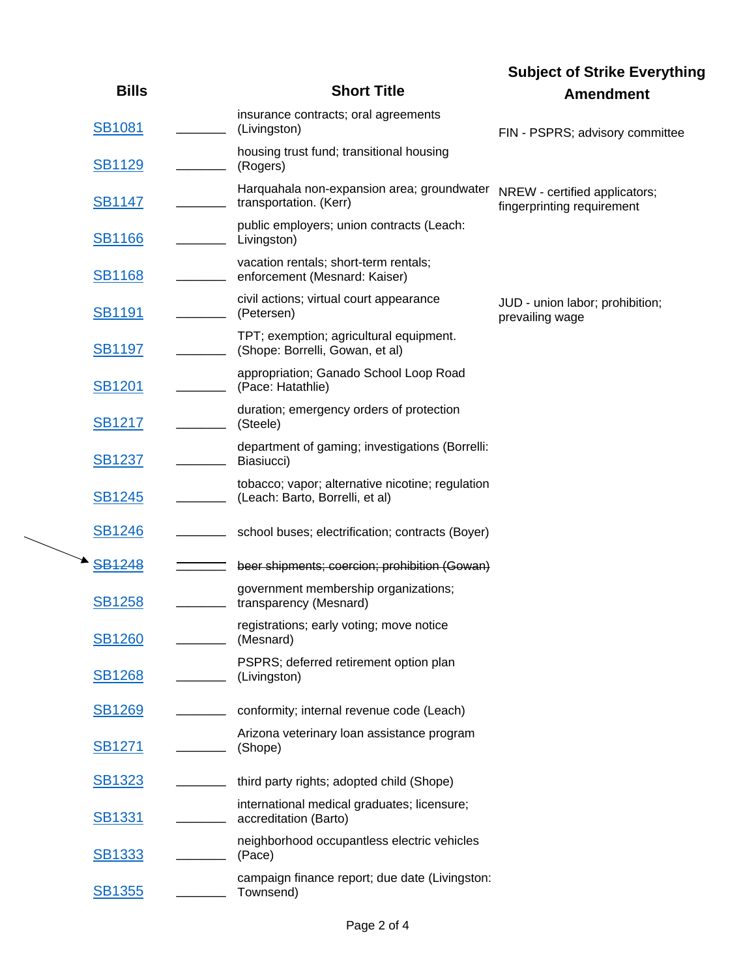|               |                                                                                     | <b>Subject of Strike Everything</b>                         |
|---------------|-------------------------------------------------------------------------------------|-------------------------------------------------------------|
| <b>Bills</b>  | <b>Short Title</b>                                                                  | <b>Amendment</b>                                            |
| <b>SB1081</b> | insurance contracts; oral agreements<br>(Livingston)                                | FIN - PSPRS; advisory committee                             |
| <b>SB1129</b> | housing trust fund; transitional housing<br>(Rogers)                                |                                                             |
| <b>SB1147</b> | Harquahala non-expansion area; groundwater<br>transportation. (Kerr)                | NREW - certified applicators;<br>fingerprinting requirement |
| <b>SB1166</b> | public employers; union contracts (Leach:<br>Livingston)                            |                                                             |
| <u>SB1168</u> | vacation rentals; short-term rentals;<br>enforcement (Mesnard: Kaiser)              |                                                             |
| <b>SB1191</b> | civil actions; virtual court appearance<br>(Petersen)                               | JUD - union labor; prohibition;<br>prevailing wage          |
| <b>SB1197</b> | TPT; exemption; agricultural equipment.<br>(Shope: Borrelli, Gowan, et al)          |                                                             |
| <b>SB1201</b> | appropriation; Ganado School Loop Road<br>(Pace: Hatathlie)                         |                                                             |
| <b>SB1217</b> | duration; emergency orders of protection<br>(Steele)                                |                                                             |
| <b>SB1237</b> | department of gaming; investigations (Borrelli:<br>Biasiucci)                       |                                                             |
| <b>SB1245</b> | tobacco; vapor; alternative nicotine; regulation<br>(Leach: Barto, Borrelli, et al) |                                                             |
| <b>SB1246</b> | school buses; electrification; contracts (Boyer)                                    |                                                             |
| <b>SB1248</b> | beer shipments; coercion; prohibition (Gowan)                                       |                                                             |
| <b>SB1258</b> | government membership organizations;<br>transparency (Mesnard)                      |                                                             |
| <b>SB1260</b> | registrations; early voting; move notice<br>(Mesnard)                               |                                                             |
| <b>SB1268</b> | PSPRS; deferred retirement option plan<br>(Livingston)                              |                                                             |
| <b>SB1269</b> | conformity; internal revenue code (Leach)                                           |                                                             |
| <b>SB1271</b> | Arizona veterinary loan assistance program<br>(Shope)                               |                                                             |
| <u>SB1323</u> | third party rights; adopted child (Shope)                                           |                                                             |
| <b>SB1331</b> | international medical graduates; licensure;<br>accreditation (Barto)                |                                                             |
| <b>SB1333</b> | neighborhood occupantless electric vehicles<br>(Pace)                               |                                                             |
| <b>SB1355</b> | campaign finance report; due date (Livingston:<br>Townsend)                         |                                                             |
|               |                                                                                     |                                                             |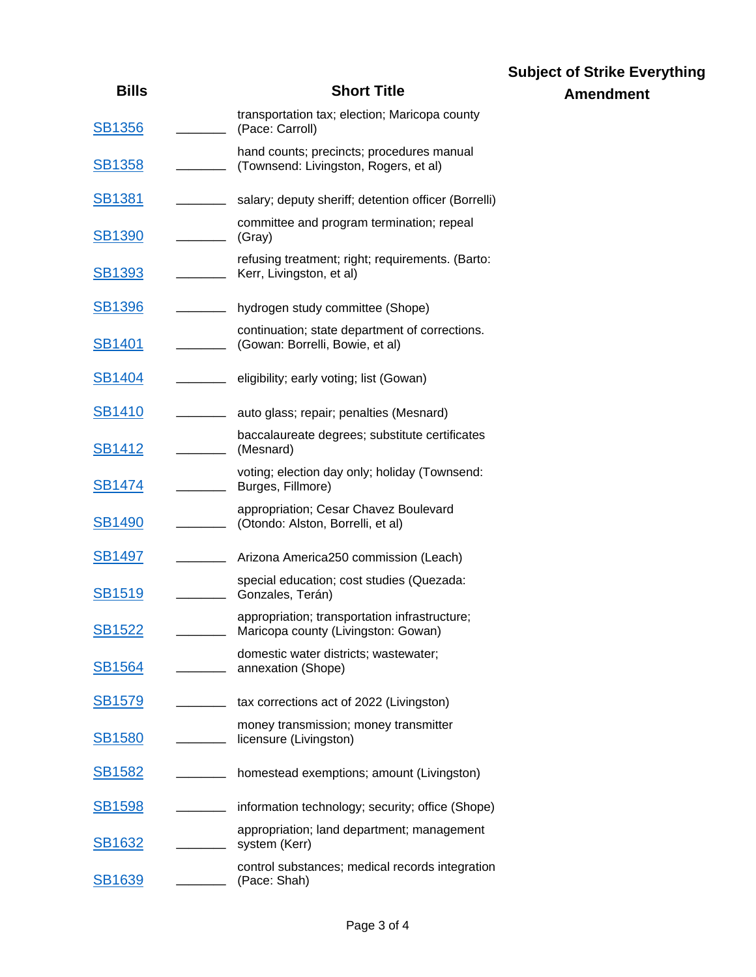|               |                                                                                      | <b>Subject of Strike Everything</b> |
|---------------|--------------------------------------------------------------------------------------|-------------------------------------|
| <b>Bills</b>  | <b>Short Title</b>                                                                   | <b>Amendment</b>                    |
| <b>SB1356</b> | transportation tax; election; Maricopa county<br>(Pace: Carroll)                     |                                     |
| <b>SB1358</b> | hand counts; precincts; procedures manual<br>(Townsend: Livingston, Rogers, et al)   |                                     |
| <b>SB1381</b> | salary; deputy sheriff; detention officer (Borrelli)                                 |                                     |
| <b>SB1390</b> | committee and program termination; repeal<br>(Gray)                                  |                                     |
| <b>SB1393</b> | refusing treatment; right; requirements. (Barto:<br>Kerr, Livingston, et al)         |                                     |
| <u>SB1396</u> | hydrogen study committee (Shope)                                                     |                                     |
| <b>SB1401</b> | continuation; state department of corrections.<br>(Gowan: Borrelli, Bowie, et al)    |                                     |
| <b>SB1404</b> | eligibility; early voting; list (Gowan)                                              |                                     |
| <b>SB1410</b> | auto glass; repair; penalties (Mesnard)                                              |                                     |
| <b>SB1412</b> | baccalaureate degrees; substitute certificates<br>(Mesnard)                          |                                     |
| <b>SB1474</b> | voting; election day only; holiday (Townsend:<br>Burges, Fillmore)                   |                                     |
| <b>SB1490</b> | appropriation; Cesar Chavez Boulevard<br>(Otondo: Alston, Borrelli, et al)           |                                     |
| <b>SB1497</b> | Arizona America250 commission (Leach)                                                |                                     |
| <b>SB1519</b> | special education; cost studies (Quezada:<br>Gonzales, Terán)                        |                                     |
| <b>SB1522</b> | appropriation; transportation infrastructure;<br>Maricopa county (Livingston: Gowan) |                                     |
| <u>SB1564</u> | domestic water districts; wastewater;<br>annexation (Shope)                          |                                     |
| <b>SB1579</b> | tax corrections act of 2022 (Livingston)                                             |                                     |
| <b>SB1580</b> | money transmission; money transmitter<br>licensure (Livingston)                      |                                     |
| <u>SB1582</u> | homestead exemptions; amount (Livingston)                                            |                                     |
| <b>SB1598</b> | information technology; security; office (Shope)                                     |                                     |
| <u>SB1632</u> | appropriation; land department; management<br>system (Kerr)                          |                                     |
| <b>SB1639</b> | control substances; medical records integration<br>(Pace: Shah)                      |                                     |